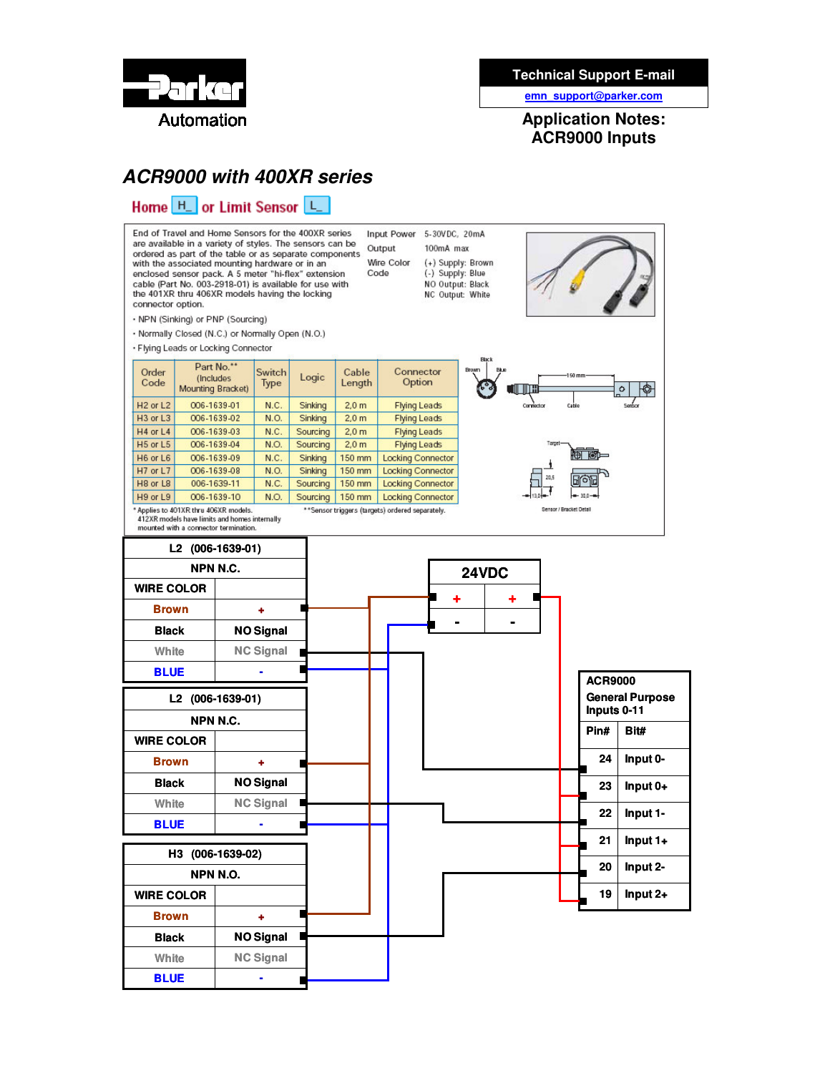

### **Technical Support E-mail**

**emn\_support@parker.com**

**Application Notes: ACR9000 Inputs**

Sensor / Bracket Detail

## *ACR9000 with 400XR series*

## Home H\_ or Limit Sensor

End of Travel and Home Sensors for the 400XR series are available in a variety of styles. The sensors can be ordered as part of the table or as separate components with the associated mounting hardware or in an<br>enclosed sensor pack. A 5 meter "hi-flex" extension cable (Part No. 003-2918-01) is available for use with the 401XR thru 406XR models having the locking connector option.

. NPN (Sinking) or PNP (Sourcing)

. Normally Closed (N.C.) or Normally Open (N.O.)

· Flying Leads or Locking Connector

| Order<br>Code                                                                            | Part No.**<br>(Includes)<br>Mounting Bracket) | Switch<br>Type | Logic    | Cable<br>Length  | Connector<br>Option      |
|------------------------------------------------------------------------------------------|-----------------------------------------------|----------------|----------|------------------|--------------------------|
| $H2$ or $L2$                                                                             | 006-1639-01                                   | N.C.           | Sinking  | 2.0 <sub>m</sub> | <b>Flying Leads</b>      |
| $H3$ or $L3$                                                                             | 006-1639-02                                   | N.O.           | Sinking  | 2.0 <sub>m</sub> | <b>Flying Leads</b>      |
| $H4$ or $L4$                                                                             | 006-1639-03                                   | N.C.           | Sourcing | 2.0 <sub>m</sub> | <b>Flying Leads</b>      |
| H <sub>5</sub> or L <sub>5</sub>                                                         | 006-1639-04                                   | N.O.           | Sourcing | 2.0 <sub>m</sub> | <b>Flying Leads</b>      |
| H6 or L6                                                                                 | 006-1639-09                                   | N.C.           | Sinking  | 150 mm           | <b>Locking Connector</b> |
| $H7$ or $L7$                                                                             | 006-1639-08                                   | N.O.           | Sinking  | 150 mm           | <b>Locking Connector</b> |
| H <sub>8</sub> or L <sub>8</sub>                                                         | 006-1639-11                                   | N.C.           | Sourcing | 150 mm           | <b>Locking Connector</b> |
| H9 or L9                                                                                 | 006-1639-10                                   | N.O.           | Sourcing | 150 mm           | <b>Locking Connector</b> |
| * Applies to 401XR thru 406XR models.<br>**Sensor triggers (targets) ordered separately, |                                               |                |          |                  |                          |

412XR models have limits and homes internally mounted with a connector termination.



Input Power 5-30VDC, 20mA

100mA max

(+) Supply: Brown

(-) Supply: Blue

NO Output: Black

NC Output: White

Output

Code

Wire Color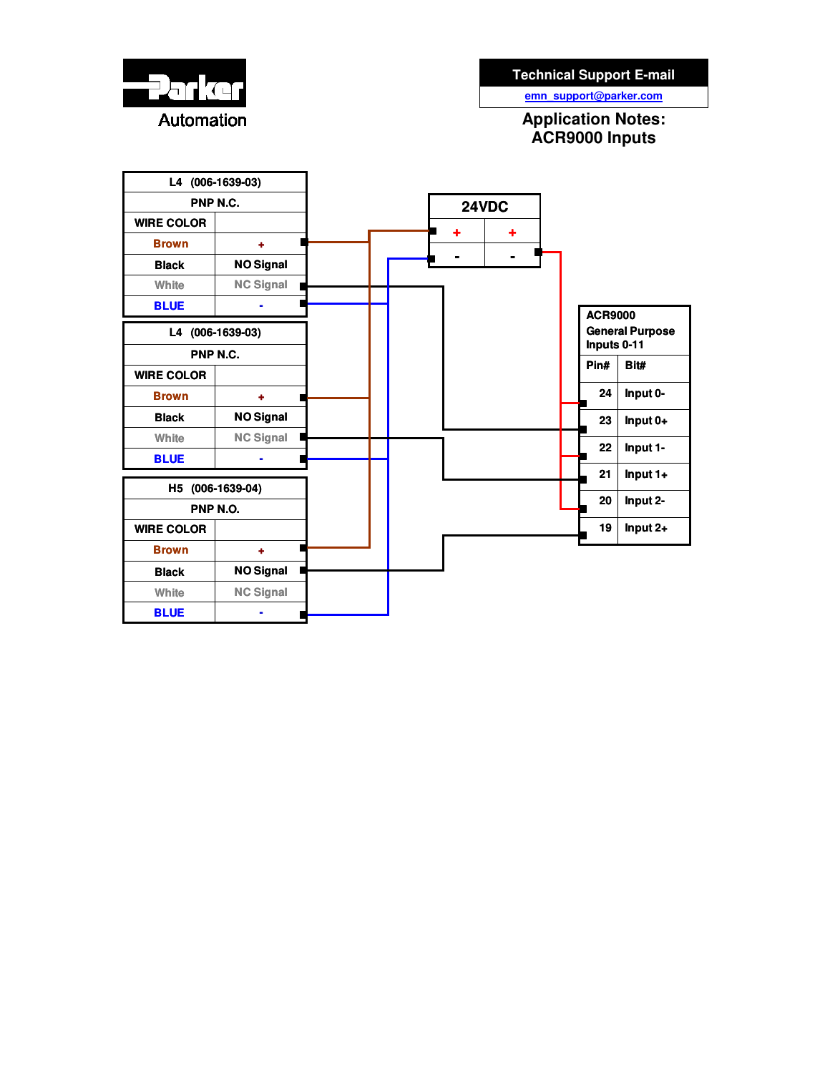

**emn\_support@parker.com**

**Application Notes: ACR9000 Inputs**

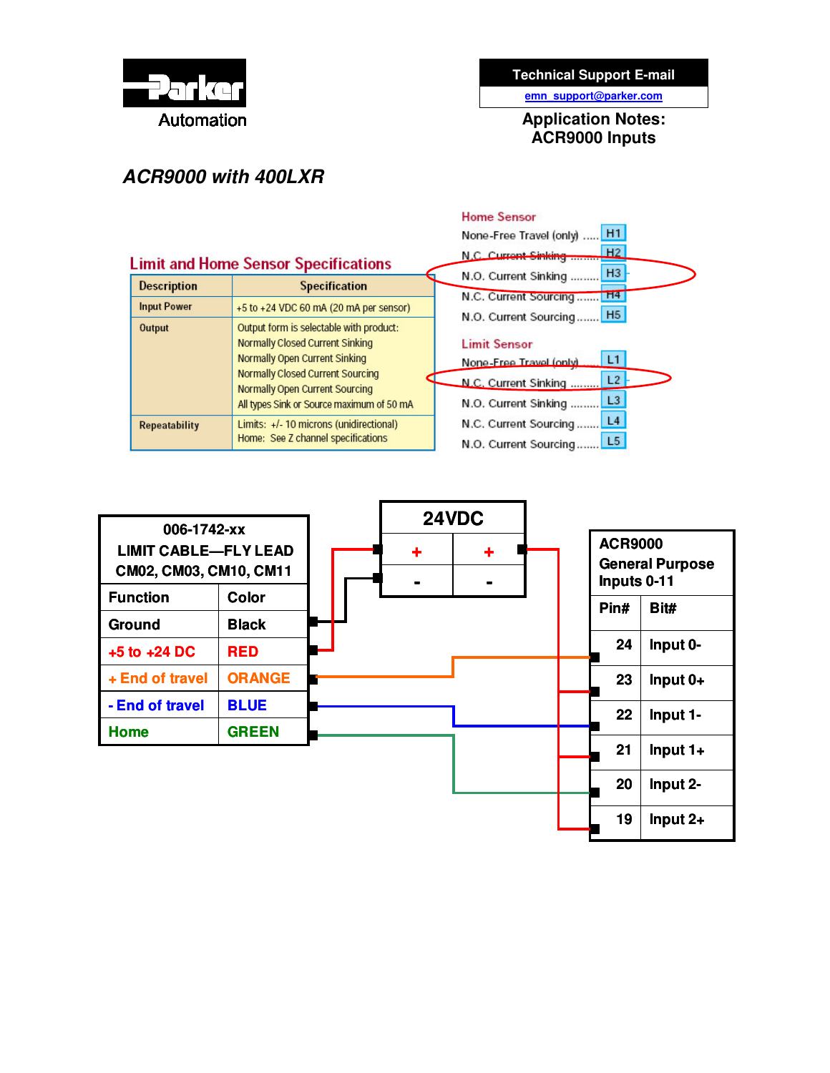

### **Technical Support E-mail**

**emn\_support@parker.com**

**Application Notes: ACR9000 Inputs**

# *ACR9000 with 400LXR*

|                      |                                                                                                                                                                                                                                                            | <b>Home Sensor</b>                                                                                               |  |
|----------------------|------------------------------------------------------------------------------------------------------------------------------------------------------------------------------------------------------------------------------------------------------------|------------------------------------------------------------------------------------------------------------------|--|
|                      |                                                                                                                                                                                                                                                            | H1<br>None-Free Travel (only)                                                                                    |  |
|                      | <b>Limit and Home Sensor Specifications</b>                                                                                                                                                                                                                | H2<br>N.C. Current Sinking                                                                                       |  |
| <b>Description</b>   | <b>Specification</b>                                                                                                                                                                                                                                       | H <sub>3</sub><br>N.O. Current Sinking                                                                           |  |
| <b>Input Power</b>   | +5 to +24 VDC 60 mA (20 mA per sensor)                                                                                                                                                                                                                     | H <sub>4</sub><br>N.C. Current Sourcing<br>N.O. Current Sourcing H5                                              |  |
| Output               | Output form is selectable with product:<br><b>Normally Closed Current Sinking</b><br><b>Normally Open Current Sinking</b><br><b>Normally Closed Current Sourcing</b><br><b>Normally Open Current Sourcing</b><br>All types Sink or Source maximum of 50 mA | <b>Limit Sensor</b><br>L1<br>None-Free Travel (only)<br>L2<br>N.C. Current Sinking<br>L3<br>N.O. Current Sinking |  |
| <b>Repeatability</b> | Limits: +/- 10 microns (unidirectional)<br>Home: See Z channel specifications                                                                                                                                                                              | L4<br>N.C. Current Sourcing<br>L5<br>N.O. Current Sourcing                                                       |  |